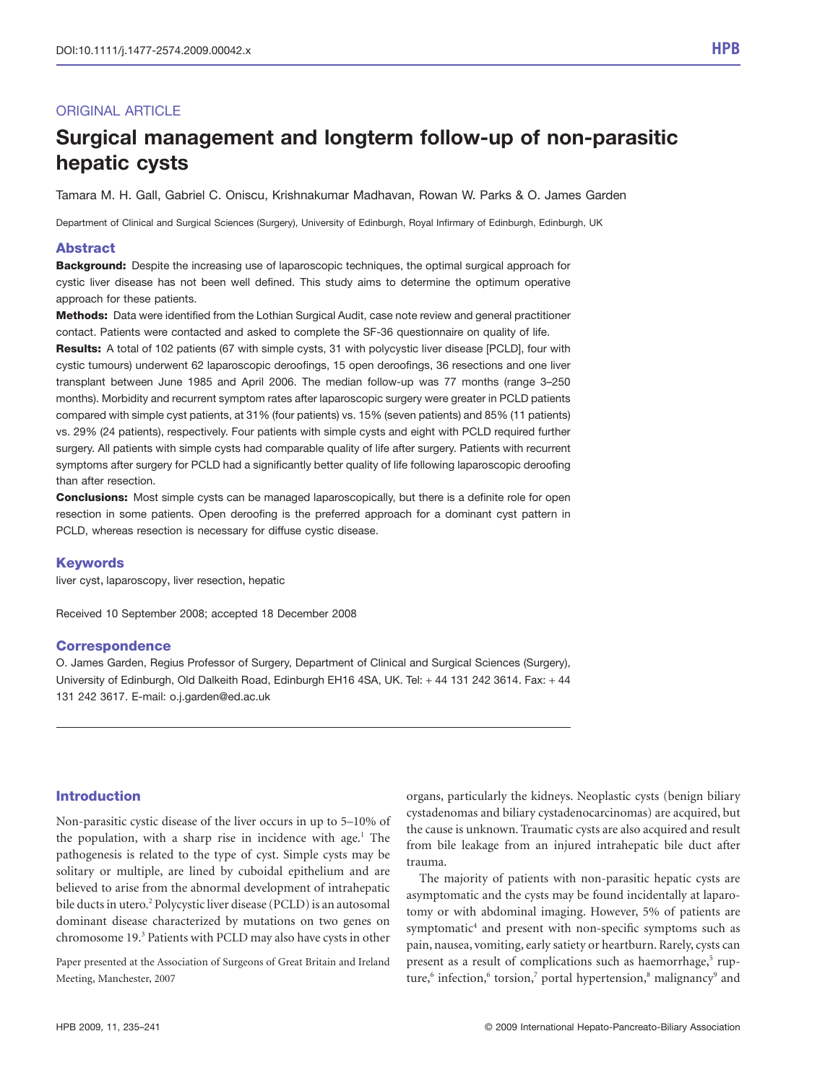# ORIGINAL ARTICLE

# Surgical management and longterm follow-up of non-parasitic hepatic cysts

Tamara M. H. Gall, Gabriel C. Oniscu, Krishnakumar Madhavan, Rowan W. Parks & O. James Garden

Department of Clinical and Surgical Sciences (Surgery), University of Edinburgh, Royal Infirmary of Edinburgh, Edinburgh, UK

#### Abstract

**Background:** Despite the increasing use of laparoscopic techniques, the optimal surgical approach for cystic liver disease has not been well defined. This study aims to determine the optimum operative approach for these patients.

Methods: Data were identified from the Lothian Surgical Audit, case note review and general practitioner contact. Patients were contacted and asked to complete the SF-36 questionnaire on quality of life.

Results: A total of 102 patients (67 with simple cysts, 31 with polycystic liver disease [PCLD], four with cystic tumours) underwent 62 laparoscopic deroofings, 15 open deroofings, 36 resections and one liver transplant between June 1985 and April 2006. The median follow-up was 77 months (range 3–250 months). Morbidity and recurrent symptom rates after laparoscopic surgery were greater in PCLD patients compared with simple cyst patients, at 31% (four patients) vs. 15% (seven patients) and 85% (11 patients) vs. 29% (24 patients), respectively. Four patients with simple cysts and eight with PCLD required further surgery. All patients with simple cysts had comparable quality of life after surgery. Patients with recurrent symptoms after surgery for PCLD had a significantly better quality of life following laparoscopic deroofing than after resection.

**Conclusions:** Most simple cysts can be managed laparoscopically, but there is a definite role for open resection in some patients. Open deroofing is the preferred approach for a dominant cyst pattern in PCLD, whereas resection is necessary for diffuse cystic disease.

## **Keywords**

liver cyst, laparoscopy, liver resection, hepatic

Received 10 September 2008; accepted 18 December 2008

## **Correspondence**

O. James Garden, Regius Professor of Surgery, Department of Clinical and Surgical Sciences (Surgery), University of Edinburgh, Old Dalkeith Road, Edinburgh EH16 4SA, UK. Tel: + 44 131 242 3614. Fax: + 44 131 242 3617. E-mail: o.j[.garden@ed.ac.uk](mailto:garden@ed.ac.uk)

#### Introduction

Non-parasitic cystic disease of the liver occurs in up to 5–10% of the population, with a sharp rise in incidence with age. $<sup>1</sup>$  The</sup> pathogenesis is related to the type of cyst. Simple cysts may be solitary or multiple, are lined by cuboidal epithelium and are believed to arise from the abnormal development of intrahepatic bile ducts in utero.<sup>2</sup> Polycystic liver disease (PCLD) is an autosomal dominant disease characterized by mutations on two genes on chromosome 19.3 Patients with PCLD may also have cysts in other

Paper presented at the Association of Surgeons of Great Britain and Ireland Meeting, Manchester, 2007

organs, particularly the kidneys. Neoplastic cysts (benign biliary cystadenomas and biliary cystadenocarcinomas) are acquired, but the cause is unknown. Traumatic cysts are also acquired and result from bile leakage from an injured intrahepatic bile duct after trauma.

The majority of patients with non-parasitic hepatic cysts are asymptomatic and the cysts may be found incidentally at laparotomy or with abdominal imaging. However, 5% of patients are symptomatic<sup>4</sup> and present with non-specific symptoms such as pain, nausea, vomiting, early satiety or heartburn. Rarely, cysts can present as a result of complications such as haemorrhage,<sup>5</sup> rupture,<sup>6</sup> infection,<sup>6</sup> torsion,<sup>7</sup> portal hypertension,<sup>8</sup> malignancy<sup>9</sup> and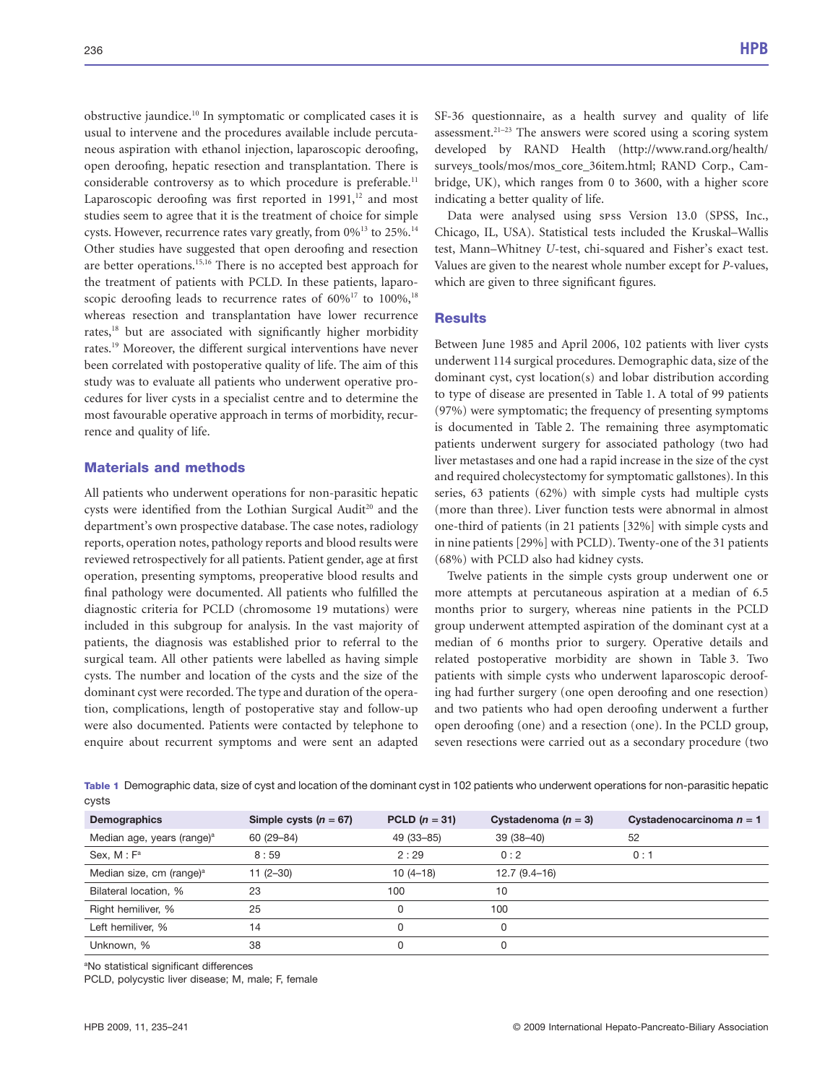obstructive jaundice.10 In symptomatic or complicated cases it is usual to intervene and the procedures available include percutaneous aspiration with ethanol injection, laparoscopic deroofing, open deroofing, hepatic resection and transplantation. There is considerable controversy as to which procedure is preferable.<sup>11</sup> Laparoscopic deroofing was first reported in  $1991$ ,<sup>12</sup> and most studies seem to agree that it is the treatment of choice for simple cysts. However, recurrence rates vary greatly, from  $0\%$ <sup>13</sup> to 25%.<sup>14</sup> Other studies have suggested that open deroofing and resection are better operations.15,16 There is no accepted best approach for the treatment of patients with PCLD. In these patients, laparoscopic deroofing leads to recurrence rates of  $60\%^{17}$  to  $100\%^{18}$ whereas resection and transplantation have lower recurrence rates,<sup>18</sup> but are associated with significantly higher morbidity rates.19 Moreover, the different surgical interventions have never been correlated with postoperative quality of life. The aim of this study was to evaluate all patients who underwent operative procedures for liver cysts in a specialist centre and to determine the most favourable operative approach in terms of morbidity, recurrence and quality of life.

#### Materials and methods

All patients who underwent operations for non-parasitic hepatic cysts were identified from the Lothian Surgical Audit<sup>20</sup> and the department's own prospective database. The case notes, radiology reports, operation notes, pathology reports and blood results were reviewed retrospectively for all patients. Patient gender, age at first operation, presenting symptoms, preoperative blood results and final pathology were documented. All patients who fulfilled the diagnostic criteria for PCLD (chromosome 19 mutations) were included in this subgroup for analysis. In the vast majority of patients, the diagnosis was established prior to referral to the surgical team. All other patients were labelled as having simple cysts. The number and location of the cysts and the size of the dominant cyst were recorded. The type and duration of the operation, complications, length of postoperative stay and follow-up were also documented. Patients were contacted by telephone to enquire about recurrent symptoms and were sent an adapted

SF-36 questionnaire, as a health survey and quality of life assessment.<sup>21-23</sup> The answers were scored using a scoring system developed by RAND Health ([http://www.rand.org/health/](http://www.rand.org/health/surveys_tools/mos/mos_core_36item.html) [surveys\\_tools/mos/mos\\_core\\_36item.html;](http://www.rand.org/health/surveys_tools/mos/mos_core_36item.html) RAND Corp., Cambridge, UK), which ranges from 0 to 3600, with a higher score indicating a better quality of life.

Data were analysed using spss Version 13.0 (SPSS, Inc., Chicago, IL, USA). Statistical tests included the Kruskal–Wallis test, Mann–Whitney *U*-test, chi-squared and Fisher's exact test. Values are given to the nearest whole number except for *P*-values, which are given to three significant figures.

## **Results**

Between June 1985 and April 2006, 102 patients with liver cysts underwent 114 surgical procedures. Demographic data, size of the dominant cyst, cyst location(s) and lobar distribution according to type of disease are presented in Table 1. A total of 99 patients (97%) were symptomatic; the frequency of presenting symptoms is documented in Table 2. The remaining three asymptomatic patients underwent surgery for associated pathology (two had liver metastases and one had a rapid increase in the size of the cyst and required cholecystectomy for symptomatic gallstones). In this series, 63 patients (62%) with simple cysts had multiple cysts (more than three). Liver function tests were abnormal in almost one-third of patients (in 21 patients [32%] with simple cysts and in nine patients [29%] with PCLD). Twenty-one of the 31 patients (68%) with PCLD also had kidney cysts.

Twelve patients in the simple cysts group underwent one or more attempts at percutaneous aspiration at a median of 6.5 months prior to surgery, whereas nine patients in the PCLD group underwent attempted aspiration of the dominant cyst at a median of 6 months prior to surgery. Operative details and related postoperative morbidity are shown in Table 3. Two patients with simple cysts who underwent laparoscopic deroofing had further surgery (one open deroofing and one resection) and two patients who had open deroofing underwent a further open deroofing (one) and a resection (one). In the PCLD group, seven resections were carried out as a secondary procedure (two

|       | Table 1 Demographic data, size of cyst and location of the dominant cyst in 102 patients who underwent operations for non-parasitic hepatic |  |
|-------|---------------------------------------------------------------------------------------------------------------------------------------------|--|
| cvsts |                                                                                                                                             |  |

| <b>Demographics</b>                    | Simple cysts $(n = 67)$ | PCLD $(n = 31)$ | Cystadenoma $(n = 3)$ | Cystadenocarcinoma $n = 1$ |
|----------------------------------------|-------------------------|-----------------|-----------------------|----------------------------|
| Median age, years (range) <sup>a</sup> | 60 (29-84)              | 49 (33 - 85)    | $39(38-40)$           | 52                         |
| Sex, $M : F^a$                         | 8:59                    | 2:29            | 0:2                   | 0:1                        |
| Median size, cm (range) <sup>a</sup>   | $11(2-30)$              | $10(4-18)$      | $12.7(9.4-16)$        |                            |
| Bilateral location, %                  | 23                      | 100             | 10                    |                            |
| Right hemiliver, %                     | 25                      | 0               | 100                   |                            |
| Left hemiliver, %                      | 14                      | 0               | 0                     |                            |
| Unknown, %                             | 38                      |                 | 0                     |                            |

a No statistical significant differences

PCLD, polycystic liver disease; M, male; F, female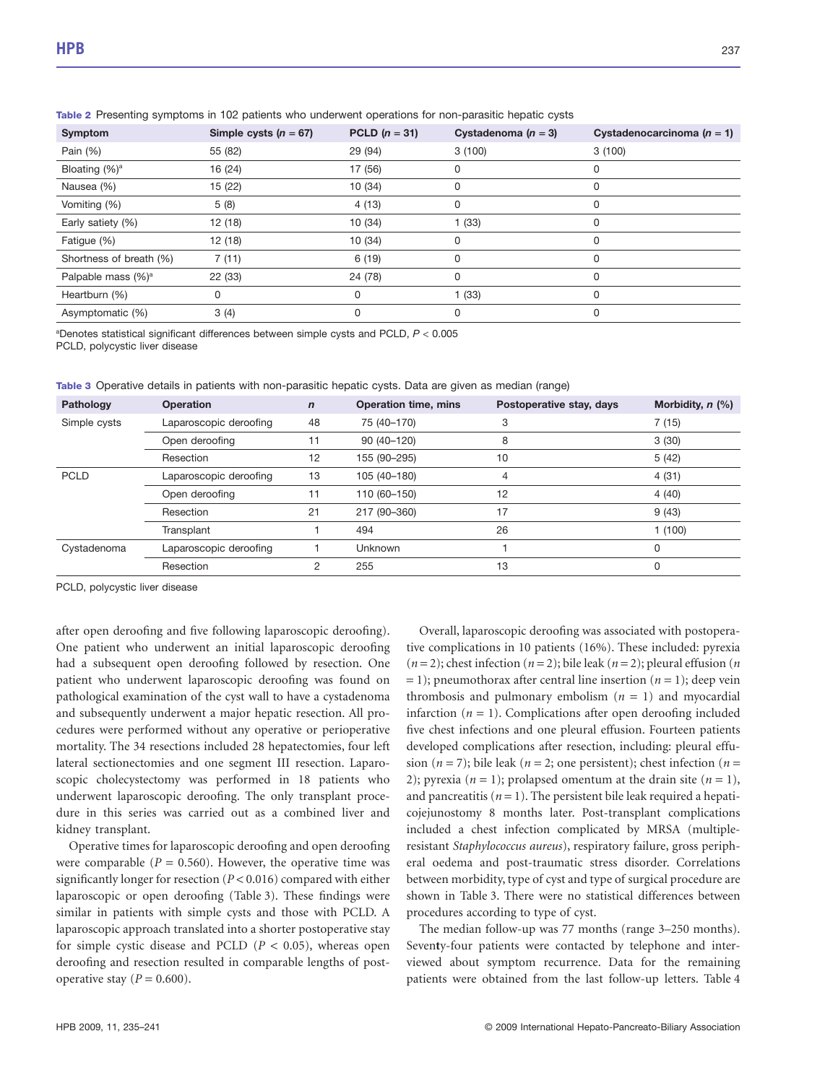| Symptom                        | Simple cysts $(n = 67)$ | PCLD $(n = 31)$ | Cystadenoma $(n = 3)$ | Cystadenocarcinoma ( $n = 1$ ) |
|--------------------------------|-------------------------|-----------------|-----------------------|--------------------------------|
| Pain (%)                       | 55 (82)                 | 29 (94)         | 3(100)                | 3(100)                         |
| Bloating $(\%)^a$              | 16 (24)                 | 17 (56)         | 0                     |                                |
| Nausea (%)                     | 15 (22)                 | 10(34)          | 0                     |                                |
| Vomiting (%)                   | 5(8)                    | 4(13)           | 0                     | O                              |
| Early satiety (%)              | 12 (18)                 | 10 (34)         | 1(33)                 |                                |
| Fatigue (%)                    | 12 (18)                 | 10 (34)         | 0                     |                                |
| Shortness of breath (%)        | 7(11)                   | 6(19)           | 0                     | O                              |
| Palpable mass (%) <sup>a</sup> | 22 (33)                 | 24 (78)         | 0                     |                                |
| Heartburn (%)                  | 0                       | 0               | 1(33)                 | 0                              |
| Asymptomatic (%)               | 3(4)                    |                 | 0                     |                                |

Table 2 Presenting symptoms in 102 patients who underwent operations for non-parasitic hepatic cysts

 $^{\rm a}$ Denotes statistical significant differences between simple cysts and PCLD,  $P < 0.005$ PCLD, polycystic liver disease

Table 3 Operative details in patients with non-parasitic hepatic cysts. Data are given as median (range)

| Pathology    | <b>Operation</b>       | $\mathbf n$ | <b>Operation time, mins</b> | Postoperative stay, days | Morbidity, $n$ (%) |
|--------------|------------------------|-------------|-----------------------------|--------------------------|--------------------|
| Simple cysts | Laparoscopic deroofing | 48          | 75 (40-170)                 |                          | 7(15)              |
|              | Open deroofing         | 11          | 90 (40-120)                 | 8                        | 3(30)              |
|              | Resection              | 12          | 155 (90-295)                | 10                       | 5(42)              |
| <b>PCLD</b>  | Laparoscopic deroofing | 13          | 105 (40-180)                | 4                        | 4(31)              |
|              | Open deroofing         | 11          | 110 (60-150)                | 12                       | 4(40)              |
|              | Resection              | 21          | 217 (90-360)                | 17                       | 9(43)              |
|              | Transplant             |             | 494                         | 26                       | 1(100)             |
| Cystadenoma  | Laparoscopic deroofing |             | <b>Unknown</b>              |                          | 0                  |
|              | Resection              | 2           | 255                         | 13                       | 0                  |

PCLD, polycystic liver disease

after open deroofing and five following laparoscopic deroofing). One patient who underwent an initial laparoscopic deroofing had a subsequent open deroofing followed by resection. One patient who underwent laparoscopic deroofing was found on pathological examination of the cyst wall to have a cystadenoma and subsequently underwent a major hepatic resection. All procedures were performed without any operative or perioperative mortality. The 34 resections included 28 hepatectomies, four left lateral sectionectomies and one segment III resection. Laparoscopic cholecystectomy was performed in 18 patients who underwent laparoscopic deroofing. The only transplant procedure in this series was carried out as a combined liver and kidney transplant.

Operative times for laparoscopic deroofing and open deroofing were comparable  $(P = 0.560)$ . However, the operative time was significantly longer for resection (*P* < 0.016) compared with either laparoscopic or open deroofing (Table 3). These findings were similar in patients with simple cysts and those with PCLD. A laparoscopic approach translated into a shorter postoperative stay for simple cystic disease and PCLD  $(P < 0.05)$ , whereas open deroofing and resection resulted in comparable lengths of postoperative stay  $(P = 0.600)$ .

Overall, laparoscopic deroofing was associated with postoperative complications in 10 patients (16%). These included: pyrexia  $(n=2)$ ; chest infection  $(n=2)$ ; bile leak  $(n=2)$ ; pleural effusion  $(n=2)$  $= 1$ ); pneumothorax after central line insertion ( $n = 1$ ); deep vein thrombosis and pulmonary embolism  $(n = 1)$  and myocardial infarction  $(n = 1)$ . Complications after open deroofing included five chest infections and one pleural effusion. Fourteen patients developed complications after resection, including: pleural effusion ( $n = 7$ ); bile leak ( $n = 2$ ; one persistent); chest infection ( $n =$ 2); pyrexia  $(n = 1)$ ; prolapsed omentum at the drain site  $(n = 1)$ , and pancreatitis  $(n = 1)$ . The persistent bile leak required a hepaticojejunostomy 8 months later. Post-transplant complications included a chest infection complicated by MRSA (multipleresistant *Staphylococcus aureus*), respiratory failure, gross peripheral oedema and post-traumatic stress disorder. Correlations between morbidity, type of cyst and type of surgical procedure are shown in Table 3. There were no statistical differences between procedures according to type of cyst.

The median follow-up was 77 months (range 3–250 months). Seven**t**y-four patients were contacted by telephone and interviewed about symptom recurrence. Data for the remaining patients were obtained from the last follow-up letters. Table 4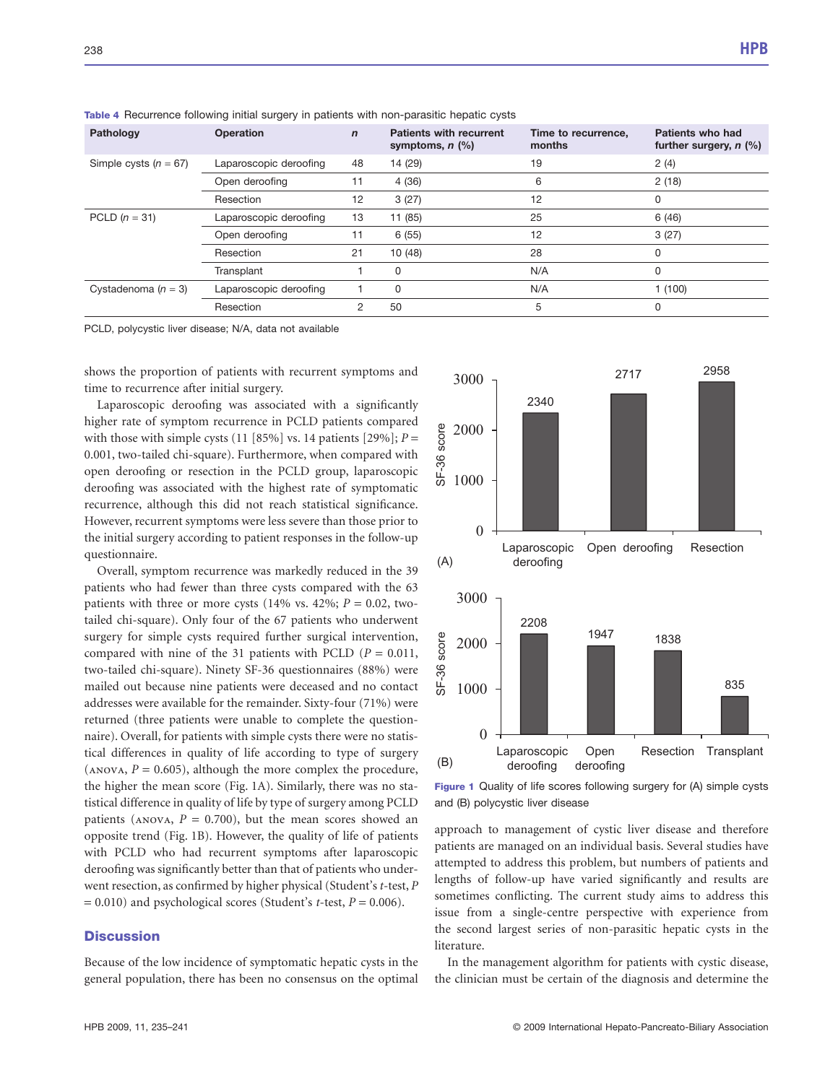| Pathology               | Operation              | $\mathbf n$ | <b>Patients with recurrent</b><br>symptoms, $n$ (%) | Time to recurrence,<br>months | Patients who had<br>further surgery, $n$ (%) |
|-------------------------|------------------------|-------------|-----------------------------------------------------|-------------------------------|----------------------------------------------|
| Simple cysts $(n = 67)$ | Laparoscopic deroofing | 48          | 14 (29)                                             | 19                            | 2(4)                                         |
|                         | Open deroofing         | 11          | 4(36)                                               | 6                             | 2(18)                                        |
|                         | Resection              | 12          | 3(27)                                               | 12                            | 0                                            |
| PCLD $(n = 31)$         | Laparoscopic deroofing | 13          | 11 (85)                                             | 25                            | 6(46)                                        |
|                         | Open deroofing         | 11          | 6(55)                                               | 12                            | 3(27)                                        |
|                         | Resection              | 21          | 10(48)                                              | 28                            | $\Omega$                                     |
|                         | Transplant             |             | 0                                                   | N/A                           | $\Omega$                                     |
| Cystadenoma $(n = 3)$   | Laparoscopic deroofing |             | 0                                                   | N/A                           | 1(100)                                       |
|                         | Resection              | 2           | 50                                                  | 5                             | $\Omega$                                     |
|                         |                        |             |                                                     |                               |                                              |

Table 4 Recurrence following initial surgery in patients with non-parasitic hepatic cysts

PCLD, polycystic liver disease; N/A, data not available

shows the proportion of patients with recurrent symptoms and time to recurrence after initial surgery.

Laparoscopic deroofing was associated with a significantly higher rate of symptom recurrence in PCLD patients compared with those with simple cysts  $(11 [85\%]$  vs. 14 patients  $[29\%]$ ;  $P =$ 0.001, two-tailed chi-square). Furthermore, when compared with open deroofing or resection in the PCLD group, laparoscopic deroofing was associated with the highest rate of symptomatic recurrence, although this did not reach statistical significance. However, recurrent symptoms were less severe than those prior to the initial surgery according to patient responses in the follow-up questionnaire.

Overall, symptom recurrence was markedly reduced in the 39 patients who had fewer than three cysts compared with the 63 patients with three or more cysts (14% vs. 42%;  $P = 0.02$ , twotailed chi-square). Only four of the 67 patients who underwent surgery for simple cysts required further surgical intervention, compared with nine of the 31 patients with PCLD  $(P = 0.011,$ two-tailed chi-square). Ninety SF-36 questionnaires (88%) were mailed out because nine patients were deceased and no contact addresses were available for the remainder. Sixty-four (71%) were returned (three patients were unable to complete the questionnaire). Overall, for patients with simple cysts there were no statistical differences in quality of life according to type of surgery ( $ANOVA$ ,  $P = 0.605$ ), although the more complex the procedure, the higher the mean score (Fig. 1A). Similarly, there was no statistical difference in quality of life by type of surgery among PCLD patients ( $ANOVA$ ,  $P = 0.700$ ), but the mean scores showed an opposite trend (Fig. 1B). However, the quality of life of patients with PCLD who had recurrent symptoms after laparoscopic deroofing was significantly better than that of patients who underwent resection, as confirmed by higher physical (Student's *t*-test, *P*  $= 0.010$ ) and psychological scores (Student's *t*-test,  $P = 0.006$ ).

## **Discussion**

Because of the low incidence of symptomatic hepatic cysts in the general population, there has been no consensus on the optimal



Figure 1 Quality of life scores following surgery for (A) simple cysts and (B) polycystic liver disease

approach to management of cystic liver disease and therefore patients are managed on an individual basis. Several studies have attempted to address this problem, but numbers of patients and lengths of follow-up have varied significantly and results are sometimes conflicting. The current study aims to address this issue from a single-centre perspective with experience from the second largest series of non-parasitic hepatic cysts in the literature.

In the management algorithm for patients with cystic disease, the clinician must be certain of the diagnosis and determine the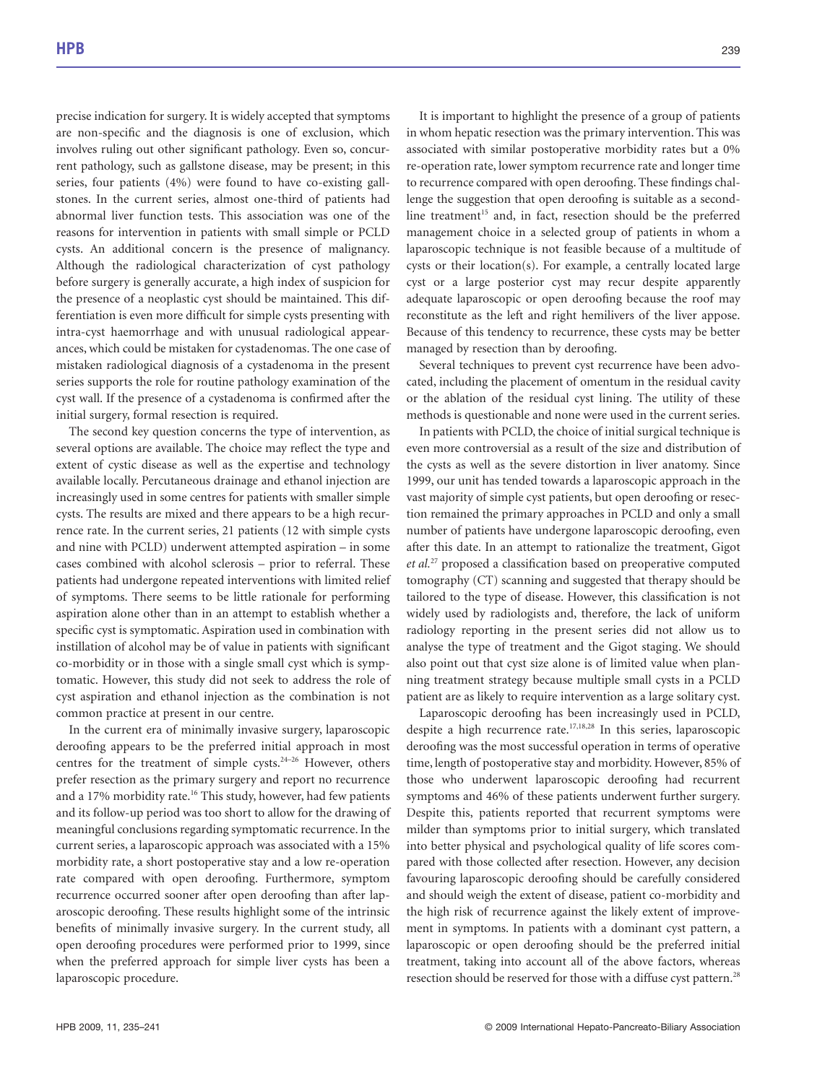precise indication for surgery. It is widely accepted that symptoms are non-specific and the diagnosis is one of exclusion, which involves ruling out other significant pathology. Even so, concurrent pathology, such as gallstone disease, may be present; in this series, four patients (4%) were found to have co-existing gallstones. In the current series, almost one-third of patients had abnormal liver function tests. This association was one of the reasons for intervention in patients with small simple or PCLD cysts. An additional concern is the presence of malignancy. Although the radiological characterization of cyst pathology before surgery is generally accurate, a high index of suspicion for the presence of a neoplastic cyst should be maintained. This differentiation is even more difficult for simple cysts presenting with intra-cyst haemorrhage and with unusual radiological appearances, which could be mistaken for cystadenomas. The one case of mistaken radiological diagnosis of a cystadenoma in the present series supports the role for routine pathology examination of the cyst wall. If the presence of a cystadenoma is confirmed after the initial surgery, formal resection is required.

The second key question concerns the type of intervention, as several options are available. The choice may reflect the type and extent of cystic disease as well as the expertise and technology available locally. Percutaneous drainage and ethanol injection are increasingly used in some centres for patients with smaller simple cysts. The results are mixed and there appears to be a high recurrence rate. In the current series, 21 patients (12 with simple cysts and nine with PCLD) underwent attempted aspiration – in some cases combined with alcohol sclerosis – prior to referral. These patients had undergone repeated interventions with limited relief of symptoms. There seems to be little rationale for performing aspiration alone other than in an attempt to establish whether a specific cyst is symptomatic. Aspiration used in combination with instillation of alcohol may be of value in patients with significant co-morbidity or in those with a single small cyst which is symptomatic. However, this study did not seek to address the role of cyst aspiration and ethanol injection as the combination is not common practice at present in our centre.

In the current era of minimally invasive surgery, laparoscopic deroofing appears to be the preferred initial approach in most centres for the treatment of simple cysts.24–26 However, others prefer resection as the primary surgery and report no recurrence and a 17% morbidity rate.<sup>16</sup> This study, however, had few patients and its follow-up period was too short to allow for the drawing of meaningful conclusions regarding symptomatic recurrence. In the current series, a laparoscopic approach was associated with a 15% morbidity rate, a short postoperative stay and a low re-operation rate compared with open deroofing. Furthermore, symptom recurrence occurred sooner after open deroofing than after laparoscopic deroofing. These results highlight some of the intrinsic benefits of minimally invasive surgery. In the current study, all open deroofing procedures were performed prior to 1999, since when the preferred approach for simple liver cysts has been a laparoscopic procedure.

It is important to highlight the presence of a group of patients in whom hepatic resection was the primary intervention. This was associated with similar postoperative morbidity rates but a 0% re-operation rate, lower symptom recurrence rate and longer time to recurrence compared with open deroofing. These findings challenge the suggestion that open deroofing is suitable as a secondline treatment<sup>15</sup> and, in fact, resection should be the preferred management choice in a selected group of patients in whom a laparoscopic technique is not feasible because of a multitude of cysts or their location(s). For example, a centrally located large cyst or a large posterior cyst may recur despite apparently adequate laparoscopic or open deroofing because the roof may reconstitute as the left and right hemilivers of the liver appose. Because of this tendency to recurrence, these cysts may be better managed by resection than by deroofing.

Several techniques to prevent cyst recurrence have been advocated, including the placement of omentum in the residual cavity or the ablation of the residual cyst lining. The utility of these methods is questionable and none were used in the current series.

In patients with PCLD, the choice of initial surgical technique is even more controversial as a result of the size and distribution of the cysts as well as the severe distortion in liver anatomy. Since 1999, our unit has tended towards a laparoscopic approach in the vast majority of simple cyst patients, but open deroofing or resection remained the primary approaches in PCLD and only a small number of patients have undergone laparoscopic deroofing, even after this date. In an attempt to rationalize the treatment, Gigot *et al.*<sup>27</sup> proposed a classification based on preoperative computed tomography (CT) scanning and suggested that therapy should be tailored to the type of disease. However, this classification is not widely used by radiologists and, therefore, the lack of uniform radiology reporting in the present series did not allow us to analyse the type of treatment and the Gigot staging. We should also point out that cyst size alone is of limited value when planning treatment strategy because multiple small cysts in a PCLD patient are as likely to require intervention as a large solitary cyst.

Laparoscopic deroofing has been increasingly used in PCLD, despite a high recurrence rate.17,18,28 In this series, laparoscopic deroofing was the most successful operation in terms of operative time, length of postoperative stay and morbidity. However, 85% of those who underwent laparoscopic deroofing had recurrent symptoms and 46% of these patients underwent further surgery. Despite this, patients reported that recurrent symptoms were milder than symptoms prior to initial surgery, which translated into better physical and psychological quality of life scores compared with those collected after resection. However, any decision favouring laparoscopic deroofing should be carefully considered and should weigh the extent of disease, patient co-morbidity and the high risk of recurrence against the likely extent of improvement in symptoms. In patients with a dominant cyst pattern, a laparoscopic or open deroofing should be the preferred initial treatment, taking into account all of the above factors, whereas resection should be reserved for those with a diffuse cyst pattern.<sup>28</sup>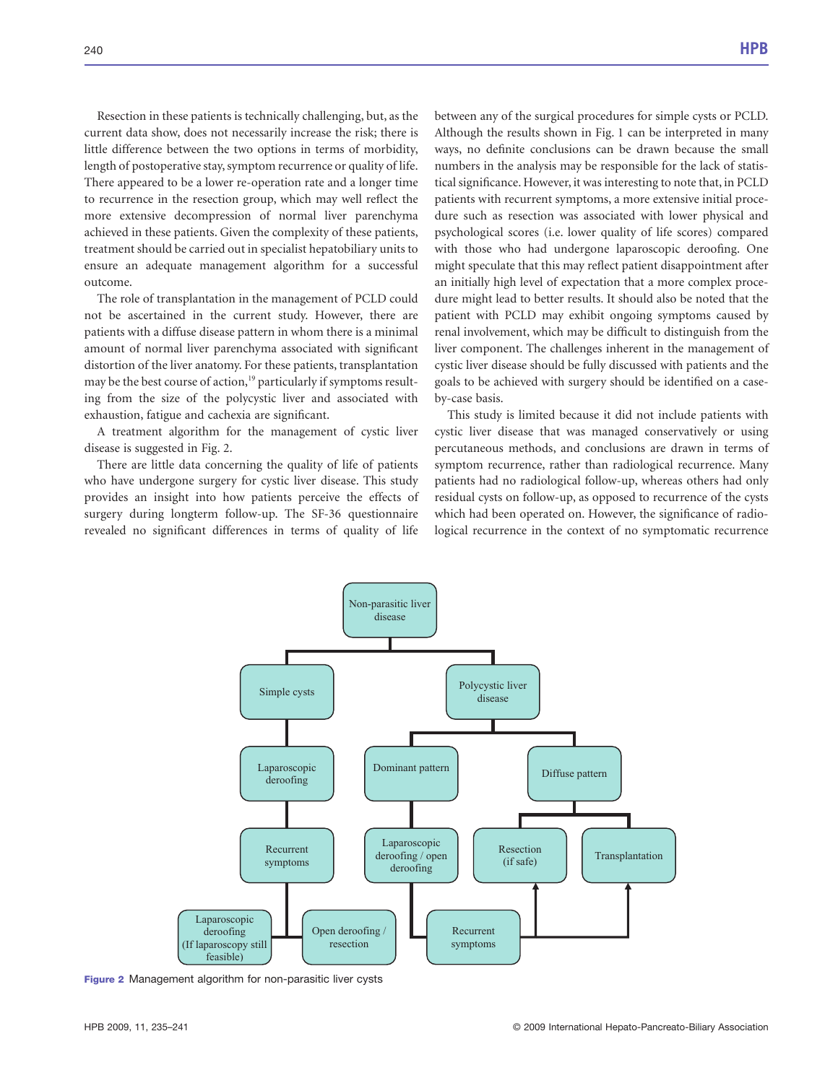Resection in these patients is technically challenging, but, as the current data show, does not necessarily increase the risk; there is little difference between the two options in terms of morbidity, length of postoperative stay, symptom recurrence or quality of life. There appeared to be a lower re-operation rate and a longer time to recurrence in the resection group, which may well reflect the more extensive decompression of normal liver parenchyma achieved in these patients. Given the complexity of these patients, treatment should be carried out in specialist hepatobiliary units to ensure an adequate management algorithm for a successful outcome.

The role of transplantation in the management of PCLD could not be ascertained in the current study. However, there are patients with a diffuse disease pattern in whom there is a minimal amount of normal liver parenchyma associated with significant distortion of the liver anatomy. For these patients, transplantation may be the best course of action,<sup>19</sup> particularly if symptoms resulting from the size of the polycystic liver and associated with exhaustion, fatigue and cachexia are significant.

A treatment algorithm for the management of cystic liver disease is suggested in Fig. 2.

There are little data concerning the quality of life of patients who have undergone surgery for cystic liver disease. This study provides an insight into how patients perceive the effects of surgery during longterm follow-up. The SF-36 questionnaire revealed no significant differences in terms of quality of life

between any of the surgical procedures for simple cysts or PCLD. Although the results shown in Fig. 1 can be interpreted in many ways, no definite conclusions can be drawn because the small numbers in the analysis may be responsible for the lack of statistical significance. However, it was interesting to note that, in PCLD patients with recurrent symptoms, a more extensive initial procedure such as resection was associated with lower physical and psychological scores (i.e. lower quality of life scores) compared with those who had undergone laparoscopic deroofing. One might speculate that this may reflect patient disappointment after an initially high level of expectation that a more complex procedure might lead to better results. It should also be noted that the patient with PCLD may exhibit ongoing symptoms caused by renal involvement, which may be difficult to distinguish from the liver component. The challenges inherent in the management of cystic liver disease should be fully discussed with patients and the goals to be achieved with surgery should be identified on a caseby-case basis.

This study is limited because it did not include patients with cystic liver disease that was managed conservatively or using percutaneous methods, and conclusions are drawn in terms of symptom recurrence, rather than radiological recurrence. Many patients had no radiological follow-up, whereas others had only residual cysts on follow-up, as opposed to recurrence of the cysts which had been operated on. However, the significance of radiological recurrence in the context of no symptomatic recurrence



Figure 2 Management algorithm for non-parasitic liver cysts